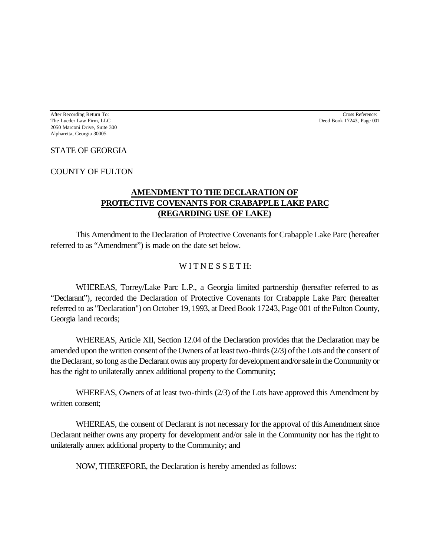After Recording Return To: Cross Reference: The Lueder Law Firm, LLC **Deed Book 17243**, Page 001 2050 Marconi Drive, Suite 300 Alpharetta, Georgia 30005

## STATE OF GEORGIA

COUNTY OF FULTON

## **AMENDMENT TO THE DECLARATION OF PROTECTIVE COVENANTS FOR CRABAPPLE LAKE PARC (REGARDING USE OF LAKE)**

This Amendment to the Declaration of Protective Covenants for Crabapple Lake Parc (hereafter referred to as "Amendment") is made on the date set below.

## WITNESSETH:

WHEREAS, Torrey/Lake Parc L.P., a Georgia limited partnership (hereafter referred to as "Declarant"), recorded the Declaration of Protective Covenants for Crabapple Lake Parc (hereafter referred to as "Declaration") on October 19, 1993, at Deed Book 17243, Page 001 of the Fulton County, Georgia land records;

WHEREAS, Article XII, Section 12.04 of the Declaration provides that the Declaration may be amended upon the written consent of the Owners of at least two-thirds (2/3) of the Lots and the consent of the Declarant, so long as the Declarant owns any property for development and/or sale in the Community or has the right to unilaterally annex additional property to the Community;

WHEREAS, Owners of at least two-thirds (2/3) of the Lots have approved this Amendment by written consent;

WHEREAS, the consent of Declarant is not necessary for the approval of this Amendment since Declarant neither owns any property for development and/or sale in the Community nor has the right to unilaterally annex additional property to the Community; and

NOW, THEREFORE, the Declaration is hereby amended as follows: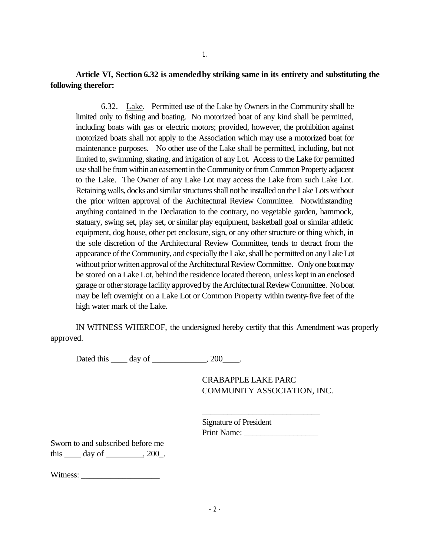**Article VI, Section 6.32 is amended by striking same in its entirety and substituting the following therefor:**

6.32. Lake. Permitted use of the Lake by Owners in the Community shall be limited only to fishing and boating. No motorized boat of any kind shall be permitted, including boats with gas or electric motors; provided, however, the prohibition against motorized boats shall not apply to the Association which may use a motorized boat for maintenance purposes. No other use of the Lake shall be permitted, including, but not limited to, swimming, skating, and irrigation of any Lot. Access to the Lake for permitted use shall be from within an easement in the Community or from Common Property adjacent to the Lake. The Owner of any Lake Lot may access the Lake from such Lake Lot. Retaining walls, docks and similar structures shall not be installed on the Lake Lots without the prior written approval of the Architectural Review Committee. Notwithstanding anything contained in the Declaration to the contrary, no vegetable garden, hammock, statuary, swing set, play set, or similar play equipment, basketball goal or similar athletic equipment, dog house, other pet enclosure, sign, or any other structure or thing which, in the sole discretion of the Architectural Review Committee, tends to detract from the appearance of the Community, and especially the Lake, shall be permitted on any Lake Lot without prior written approval of the Architectural Review Committee. Only one boat may be stored on a Lake Lot, behind the residence located thereon, unless kept in an enclosed garage or other storage facility approved by the Architectural Review Committee. No boat may be left overnight on a Lake Lot or Common Property within twenty-five feet of the high water mark of the Lake.

IN WITNESS WHEREOF, the undersigned hereby certify that this Amendment was properly approved.

Dated this \_\_\_\_ day of \_\_\_\_\_\_\_\_\_\_\_, 200\_\_\_\_.

CRABAPPLE LAKE PARC COMMUNITY ASSOCIATION, INC.

Signature of President Print Name:

\_\_\_\_\_\_\_\_\_\_\_\_\_\_\_\_\_\_\_\_\_\_\_\_\_\_\_\_

Sworn to and subscribed before me this  $\rule{1em}{0.15mm}$  day of  $\rule{1em}{0.15mm}$   $\qquad$   $\qquad$   $\qquad$   $\qquad$   $\qquad$   $\qquad$   $\qquad$   $\qquad$   $\qquad$   $\qquad$   $\qquad$   $\qquad$   $\qquad$   $\qquad$   $\qquad$   $\qquad$   $\qquad$   $\qquad$   $\qquad$   $\qquad$   $\qquad$   $\qquad$   $\qquad$   $\qquad$   $\qquad$   $\qquad$   $\qquad$   $\qquad$   $\qquad$   $\qquad$ 

Witness: \_\_\_\_\_\_\_\_\_\_\_\_\_\_\_\_\_\_\_